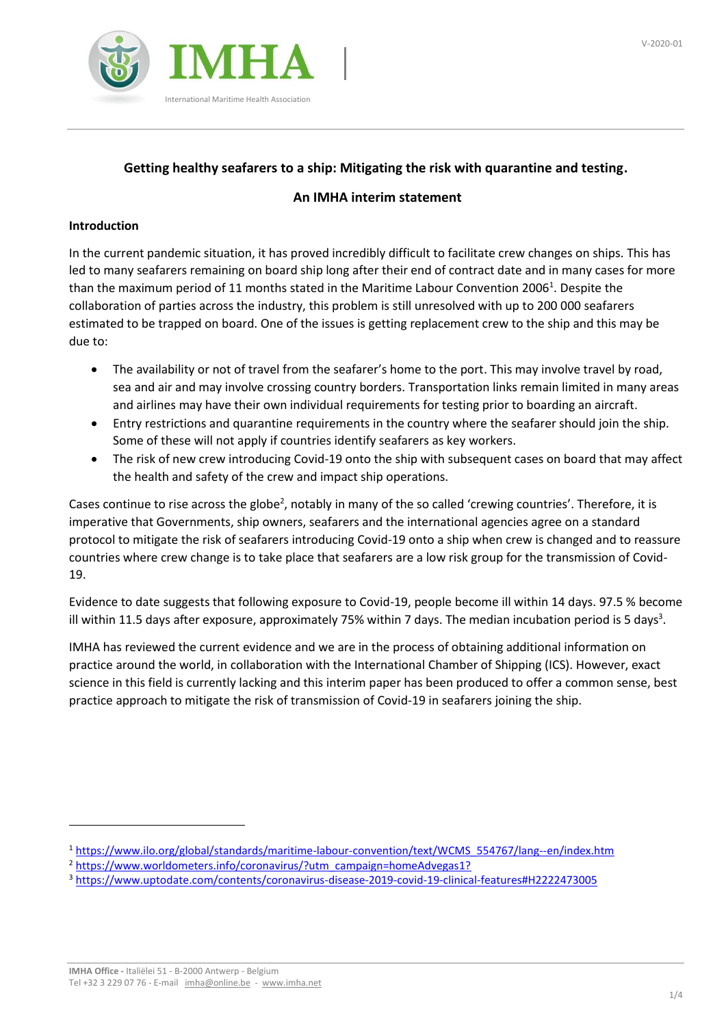

# **Getting healthy seafarers to a ship: Mitigating the risk with quarantine and testing.**

## **An IMHA interim statement**

## **Introduction**

In the current pandemic situation, it has proved incredibly difficult to facilitate crew changes on ships. This has led to many seafarers remaining on board ship long after their end of contract date and in many cases for more than the maximum period of 11 months stated in the Maritime Labour Convention 2006<sup>1</sup>. Despite the collaboration of parties across the industry, this problem is still unresolved with up to 200 000 seafarers estimated to be trapped on board. One of the issues is getting replacement crew to the ship and this may be due to:

- The availability or not of travel from the seafarer's home to the port. This may involve travel by road, sea and air and may involve crossing country borders. Transportation links remain limited in many areas and airlines may have their own individual requirements for testing prior to boarding an aircraft.
- Entry restrictions and quarantine requirements in the country where the seafarer should join the ship. Some of these will not apply if countries identify seafarers as key workers.
- The risk of new crew introducing Covid-19 onto the ship with subsequent cases on board that may affect the health and safety of the crew and impact ship operations.

Cases continue to rise across the globe<sup>2</sup>, notably in many of the so called 'crewing countries'. Therefore, it is imperative that Governments, ship owners, seafarers and the international agencies agree on a standard protocol to mitigate the risk of seafarers introducing Covid-19 onto a ship when crew is changed and to reassure countries where crew change is to take place that seafarers are a low risk group for the transmission of Covid-19.

Evidence to date suggests that following exposure to Covid-19, people become ill within 14 days. 97.5 % become ill within 11.5 days after exposure, approximately 75% within 7 days. The median incubation period is 5 days<sup>3</sup>.

IMHA has reviewed the current evidence and we are in the process of obtaining additional information on practice around the world, in collaboration with the International Chamber of Shipping (ICS). However, exact science in this field is currently lacking and this interim paper has been produced to offer a common sense, best practice approach to mitigate the risk of transmission of Covid-19 in seafarers joining the ship.

<sup>1</sup> [https://www.ilo.org/global/standards/maritime-labour-convention/text/WCMS\\_554767/lang--en/index.htm](https://www.ilo.org/global/standards/maritime-labour-convention/text/WCMS_554767/lang--en/index.htm)

<sup>&</sup>lt;sup>2</sup> [https://www.worldometers.info/coronavirus/?utm\\_campaign=homeAdvegas1?](https://www.worldometers.info/coronavirus/?utm_campaign=homeAdvegas1?)

<sup>3</sup> <https://www.uptodate.com/contents/coronavirus-disease-2019-covid-19-clinical-features#H2222473005>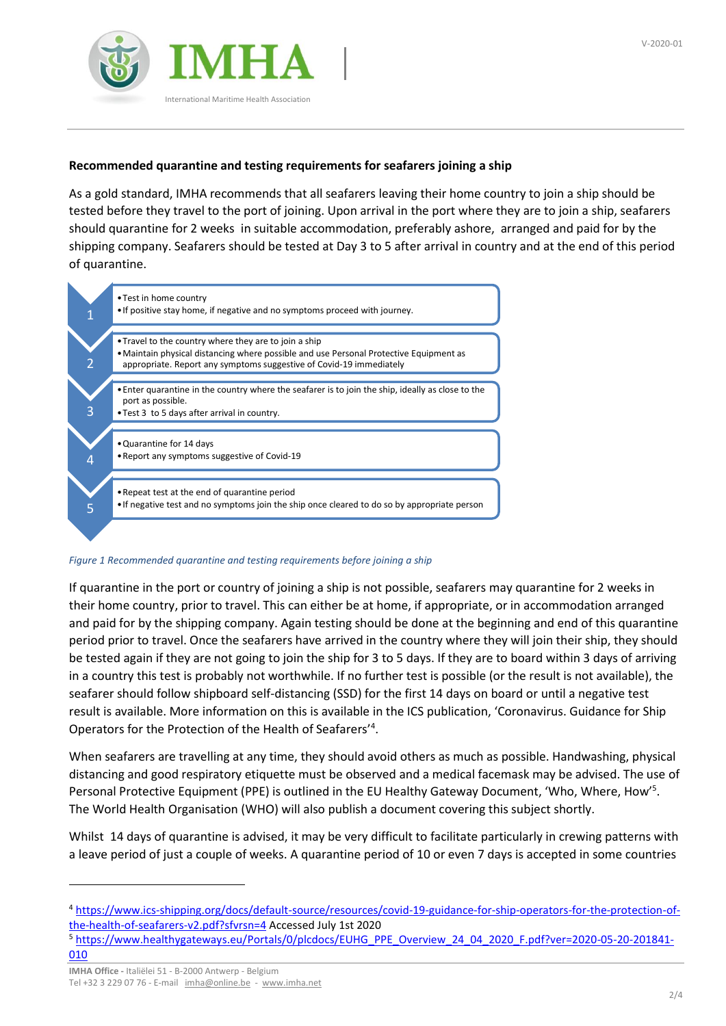

## **Recommended quarantine and testing requirements for seafarers joining a ship**

As a gold standard, IMHA recommends that all seafarers leaving their home country to join a ship should be tested before they travel to the port of joining. Upon arrival in the port where they are to join a ship, seafarers should quarantine for 2 weeks in suitable accommodation, preferably ashore, arranged and paid for by the shipping company. Seafarers should be tested at Day 3 to 5 after arrival in country and at the end of this period of quarantine.



#### *Figure 1 Recommended quarantine and testing requirements before joining a ship*

If quarantine in the port or country of joining a ship is not possible, seafarers may quarantine for 2 weeks in their home country, prior to travel. This can either be at home, if appropriate, or in accommodation arranged and paid for by the shipping company. Again testing should be done at the beginning and end of this quarantine period prior to travel. Once the seafarers have arrived in the country where they will join their ship, they should be tested again if they are not going to join the ship for 3 to 5 days. If they are to board within 3 days of arriving in a country this test is probably not worthwhile. If no further test is possible (or the result is not available), the seafarer should follow shipboard self-distancing (SSD) for the first 14 days on board or until a negative test result is available. More information on this is available in the ICS publication, 'Coronavirus. Guidance for Ship Operators for the Protection of the Health of Seafarers'<sup>4</sup> .

When seafarers are travelling at any time, they should avoid others as much as possible. Handwashing, physical distancing and good respiratory etiquette must be observed and a medical facemask may be advised. The use of Personal Protective Equipment (PPE) is outlined in the EU Healthy Gateway Document, 'Who, Where, How'<sup>5</sup>. The World Health Organisation (WHO) will also publish a document covering this subject shortly.

Whilst 14 days of quarantine is advised, it may be very difficult to facilitate particularly in crewing patterns with a leave period of just a couple of weeks. A quarantine period of 10 or even 7 days is accepted in some countries

<sup>4</sup> [https://www.ics-shipping.org/docs/default-source/resources/covid-19-guidance-for-ship-operators-for-the-protection-of](https://www.ics-shipping.org/docs/default-source/resources/covid-19-guidance-for-ship-operators-for-the-protection-of-the-health-of-seafarers-v2.pdf?sfvrsn=4)[the-health-of-seafarers-v2.pdf?sfvrsn=4](https://www.ics-shipping.org/docs/default-source/resources/covid-19-guidance-for-ship-operators-for-the-protection-of-the-health-of-seafarers-v2.pdf?sfvrsn=4) Accessed July 1st 2020

<sup>5</sup> [https://www.healthygateways.eu/Portals/0/plcdocs/EUHG\\_PPE\\_Overview\\_24\\_04\\_2020\\_F.pdf?ver=2020-05-20-201841-](https://www.healthygateways.eu/Portals/0/plcdocs/EUHG_PPE_Overview_24_04_2020_F.pdf?ver=2020-05-20-201841-010) [010](https://www.healthygateways.eu/Portals/0/plcdocs/EUHG_PPE_Overview_24_04_2020_F.pdf?ver=2020-05-20-201841-010)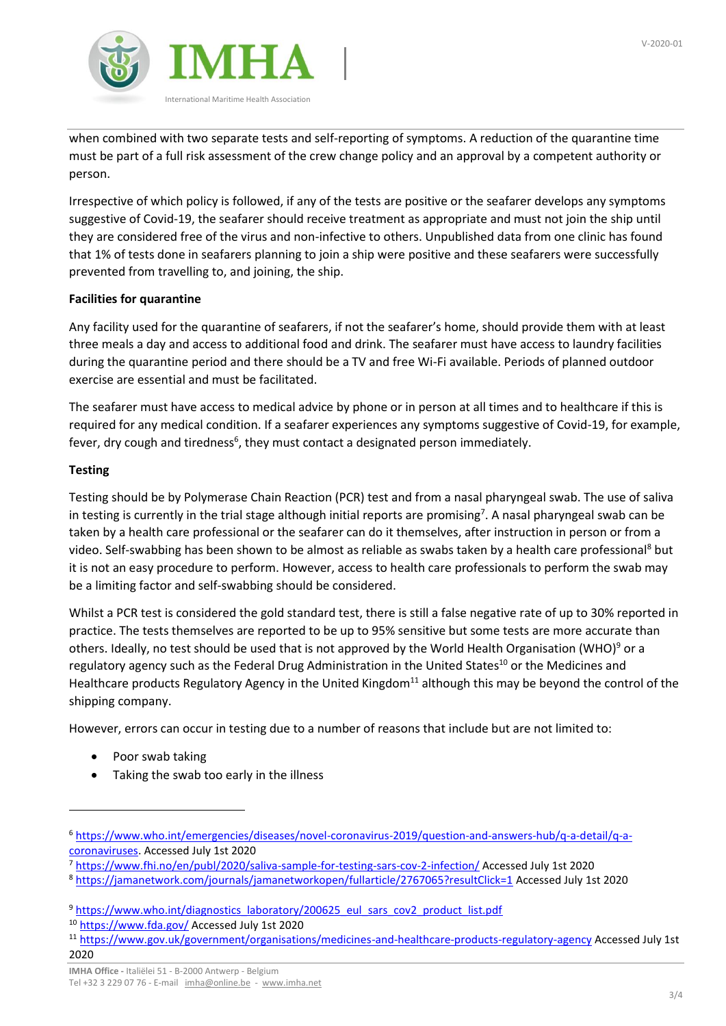

when combined with two separate tests and self-reporting of symptoms. A reduction of the quarantine time must be part of a full risk assessment of the crew change policy and an approval by a competent authority or person.

Irrespective of which policy is followed, if any of the tests are positive or the seafarer develops any symptoms suggestive of Covid-19, the seafarer should receive treatment as appropriate and must not join the ship until they are considered free of the virus and non-infective to others. Unpublished data from one clinic has found that 1% of tests done in seafarers planning to join a ship were positive and these seafarers were successfully prevented from travelling to, and joining, the ship.

## **Facilities for quarantine**

Any facility used for the quarantine of seafarers, if not the seafarer's home, should provide them with at least three meals a day and access to additional food and drink. The seafarer must have access to laundry facilities during the quarantine period and there should be a TV and free Wi-Fi available. Periods of planned outdoor exercise are essential and must be facilitated.

The seafarer must have access to medical advice by phone or in person at all times and to healthcare if this is required for any medical condition. If a seafarer experiences any symptoms suggestive of Covid-19, for example, fever, dry cough and tiredness<sup>6</sup>, they must contact a designated person immediately.

## **Testing**

Testing should be by Polymerase Chain Reaction (PCR) test and from a nasal pharyngeal swab. The use of saliva in testing is currently in the trial stage although initial reports are promising<sup>7</sup>. A nasal pharyngeal swab can be taken by a health care professional or the seafarer can do it themselves, after instruction in person or from a video. Self-swabbing has been shown to be almost as reliable as swabs taken by a health care professional<sup>8</sup> but it is not an easy procedure to perform. However, access to health care professionals to perform the swab may be a limiting factor and self-swabbing should be considered.

Whilst a PCR test is considered the gold standard test, there is still a false negative rate of up to 30% reported in practice. The tests themselves are reported to be up to 95% sensitive but some tests are more accurate than others. Ideally, no test should be used that is not approved by the World Health Organisation (WHO)<sup>9</sup> or a regulatory agency such as the Federal Drug Administration in the United States<sup>10</sup> or the Medicines and Healthcare products Regulatory Agency in the United Kingdom<sup>11</sup> although this may be beyond the control of the shipping company.

However, errors can occur in testing due to a number of reasons that include but are not limited to:

- Poor swab taking
- Taking the swab too early in the illness

<sup>6</sup> [https://www.who.int/emergencies/diseases/novel-coronavirus-2019/question-and-answers-hub/q-a-detail/q-a](https://www.who.int/emergencies/diseases/novel-coronavirus-2019/question-and-answers-hub/q-a-detail/q-a-coronaviruses)[coronaviruses.](https://www.who.int/emergencies/diseases/novel-coronavirus-2019/question-and-answers-hub/q-a-detail/q-a-coronaviruses) Accessed July 1st 2020

<sup>7</sup> <https://www.fhi.no/en/publ/2020/saliva-sample-for-testing-sars-cov-2-infection/> Accessed July 1st 2020

<sup>8</sup> <https://jamanetwork.com/journals/jamanetworkopen/fullarticle/2767065?resultClick=1> Accessed July 1st 2020

<sup>&</sup>lt;sup>9</sup> [https://www.who.int/diagnostics\\_laboratory/200625\\_eul\\_sars\\_cov2\\_product\\_list.pdf](https://www.who.int/diagnostics_laboratory/200625_eul_sars_cov2_product_list.pdf)

<sup>10</sup> <https://www.fda.gov/> Accessed July 1st 2020

<sup>11</sup> <https://www.gov.uk/government/organisations/medicines-and-healthcare-products-regulatory-agency> Accessed July 1st 2020

Tel +32 3 229 07 76 - E-mail [imha@online.be](mailto:imha@online.be) - [www.imha.net](http://www.imha.net/)